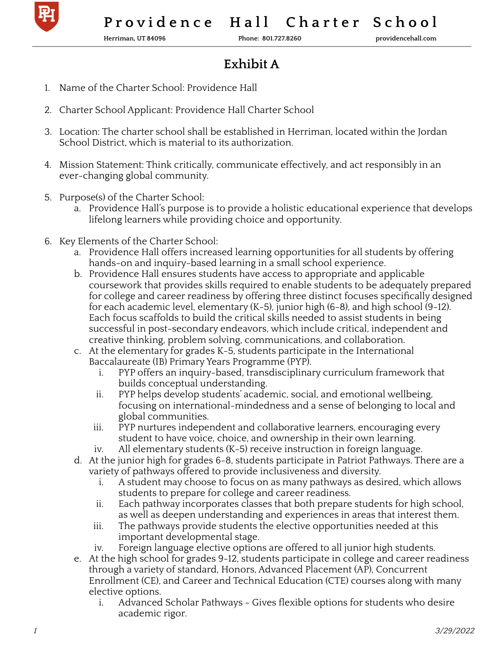

**Herriman, UT 84096 Phone: 801.727.8260 providencehall.com**

## **Exhibit A**

- 1. Name of the Charter School: Providence Hall
- 2. Charter School Applicant: Providence Hall Charter School
- 3. Location: The charter school shall be established in Herriman, located within the Jordan School District, which is material to its authorization.
- 4. Mission Statement: Think critically, communicate effectively, and act responsibly in an ever-changing global community.
- 5. Purpose(s) of the Charter School:
	- a. Providence Hall's purpose is to provide a holistic educational experience that develops lifelong learners while providing choice and opportunity.
- 6. Key Elements of the Charter School:
	- a. Providence Hall offers increased learning opportunities for all students by offering hands-on and inquiry-based learning in a small school experience.
	- b. Providence Hall ensures students have access to appropriate and applicable coursework that provides skills required to enable students to be adequately prepared for college and career readiness by offering three distinct focuses specifically designed for each academic level, elementary (K-5), junior high (6-8), and high school (9-12). Each focus scaffolds to build the critical skills needed to assist students in being successful in post-secondary endeavors, which include critical, independent and creative thinking, problem solving, communications, and collaboration.
	- c. At the elementary for grades K-5, students participate in the International Baccalaureate (IB) Primary Years Programme (PYP).
		- i. PYP offers an inquiry-based, transdisciplinary curriculum framework that builds conceptual understanding.
		- ii. PYP helps develop students' academic, social, and emotional wellbeing, focusing on international-mindedness and a sense of belonging to local and global communities.
		- iii. PYP nurtures independent and collaborative learners, encouraging every student to have voice, choice, and ownership in their own learning.
		- iv. All elementary students (K-5) receive instruction in foreign language.
	- d. At the junior high for grades 6-8, students participate in Patriot Pathways. There are a variety of pathways offered to provide inclusiveness and diversity.
		- i. A student may choose to focus on as many pathways as desired, which allows students to prepare for college and career readiness.
		- ii. Each pathway incorporates classes that both prepare students for high school, as well as deepen understanding and experiences in areas that interest them.
		- iii. The pathways provide students the elective opportunities needed at this important developmental stage.
		- iv. Foreign language elective options are offered to all junior high students.
	- e. At the high school for grades 9-12, students participate in college and career readiness through a variety of standard, Honors, Advanced Placement (AP), Concurrent Enrollment (CE), and Career and Technical Education (CTE) courses along with many elective options.
		- i. Advanced Scholar Pathways Gives flexible options for students who desire academic rigor.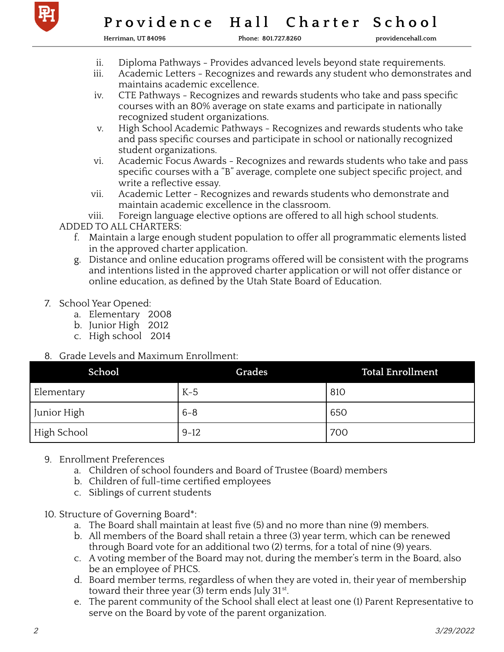

**Herriman, UT 84096 Phone: 801.727.8260 providencehall.com**

- ii. Diploma Pathways Provides advanced levels beyond state requirements.
- Academic Letters Recognizes and rewards any student who demonstrates and maintains academic excellence.
- iv. CTE Pathways Recognizes and rewards students who take and pass specific courses with an 80% average on state exams and participate in nationally recognized student organizations.
- v. High School Academic Pathways Recognizes and rewards students who take and pass specific courses and participate in school or nationally recognized student organizations.
- vi. Academic Focus Awards Recognizes and rewards students who take and pass specific courses with a "B" average, complete one subject specific project, and write a reflective essay.
- vii. Academic Letter Recognizes and rewards students who demonstrate and maintain academic excellence in the classroom.

viii. Foreign language elective options are offered to all high school students.

ADDED TO ALL CHARTERS:

- f. Maintain a large enough student population to offer all programmatic elements listed in the approved charter application.
- g. Distance and online education programs offered will be consistent with the programs and intentions listed in the approved charter application or will not offer distance or online education, as defined by the Utah State Board of Education.
- 7. School Year Opened:
	- a. Elementary 2008
	- b. Junior High 2012
	- c. High school 2014
- 8. Grade Levels and Maximum Enrollment:

| School      | Grades   | <b>Total Enrollment</b> |
|-------------|----------|-------------------------|
| Blementary  | $K-5$    | 810                     |
| Junior High | $6 - 8$  | 650                     |
| High School | $9 - 12$ | 700                     |

## 9. Enrollment Preferences

- a. Children of school founders and Board of Trustee (Board) members
- b. Children of full-time certified employees
- c. Siblings of current students
- 10. Structure of Governing Board\*:
	- a. The Board shall maintain at least five (5) and no more than nine (9) members.
	- b. All members of the Board shall retain a three (3) year term, which can be renewed through Board vote for an additional two (2) terms, for a total of nine (9) years.
	- c. A voting member of the Board may not, during the member's term in the Board, also be an employee of PHCS.
	- d. Board member terms, regardless of when they are voted in, their year of membership toward their three year (3) term ends July 31st.
	- e. The parent community of the School shall elect at least one (1) Parent Representative to serve on the Board by vote of the parent organization.